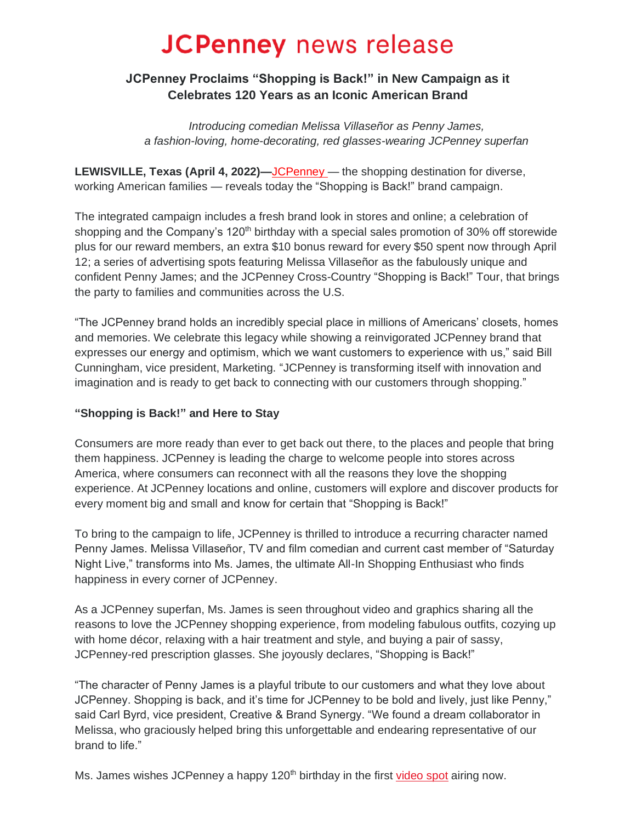# **JCPenney** news release

# **JCPenney Proclaims "Shopping is Back!" in New Campaign as it Celebrates 120 Years as an Iconic American Brand**

*Introducing comedian Melissa Villaseñor as Penny James, a fashion-loving, home-decorating, red glasses-wearing JCPenney superfan*

**LEWISVILLE, Texas (April 4, 2022)***—*[JCPenney](https://www.jcpenney.com/) — the shopping destination for diverse, working American families — reveals today the "Shopping is Back!" brand campaign.

The integrated campaign includes a fresh brand look in stores and online; a celebration of shopping and the Company's 120<sup>th</sup> birthday with a special sales promotion of 30% off storewide plus for our reward members, an extra \$10 bonus reward for every \$50 spent now through April 12; a series of advertising spots featuring Melissa Villaseñor as the fabulously unique and confident Penny James; and the JCPenney Cross-Country "Shopping is Back!" Tour, that brings the party to families and communities across the U.S.

"The JCPenney brand holds an incredibly special place in millions of Americans' closets, homes and memories. We celebrate this legacy while showing a reinvigorated JCPenney brand that expresses our energy and optimism, which we want customers to experience with us," said Bill Cunningham, vice president, Marketing. "JCPenney is transforming itself with innovation and imagination and is ready to get back to connecting with our customers through shopping."

## **"Shopping is Back!" and Here to Stay**

Consumers are more ready than ever to get back out there, to the places and people that bring them happiness. JCPenney is leading the charge to welcome people into stores across America, where consumers can reconnect with all the reasons they love the shopping experience. At JCPenney locations and online, customers will explore and discover products for every moment big and small and know for certain that "Shopping is Back!"

To bring to the campaign to life, JCPenney is thrilled to introduce a recurring character named Penny James. Melissa Villaseñor, TV and film comedian and current cast member of "Saturday Night Live," transforms into Ms. James, the ultimate All-In Shopping Enthusiast who finds happiness in every corner of JCPenney.

As a JCPenney superfan, Ms. James is seen throughout video and graphics sharing all the reasons to love the JCPenney shopping experience, from modeling fabulous outfits, cozying up with home décor, relaxing with a hair treatment and style, and buying a pair of sassy, JCPenney-red prescription glasses. She joyously declares, "Shopping is Back!"

"The character of Penny James is a playful tribute to our customers and what they love about JCPenney. Shopping is back, and it's time for JCPenney to be bold and lively, just like Penny," said Carl Byrd, vice president, Creative & Brand Synergy. "We found a dream collaborator in Melissa, who graciously helped bring this unforgettable and endearing representative of our brand to life."

Ms. James wishes JCPenney a happy 120<sup>th</sup> birthday in the first [video spot](https://www.jcpnewsroom.com/videos-shoppingisback.html) airing now.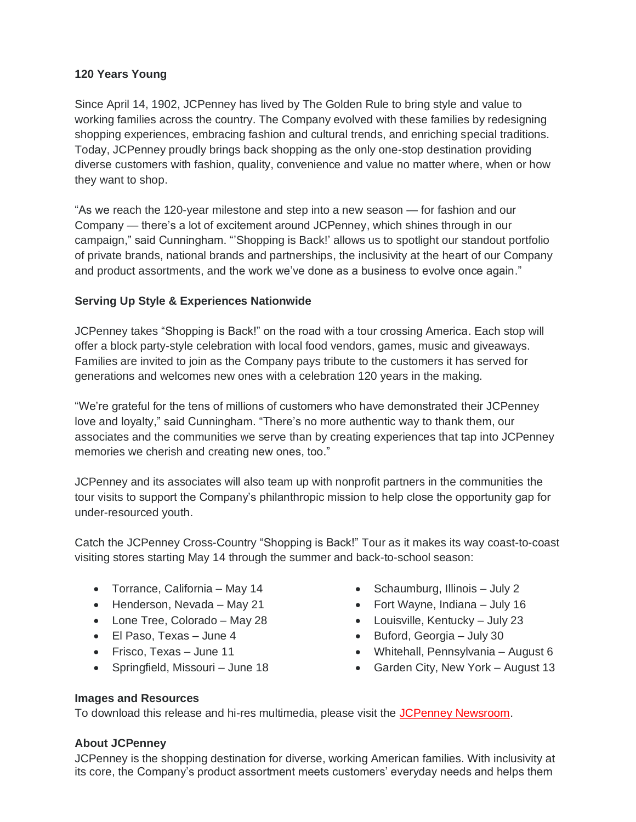#### **120 Years Young**

Since April 14, 1902, JCPenney has lived by The Golden Rule to bring style and value to working families across the country. The Company evolved with these families by redesigning shopping experiences, embracing fashion and cultural trends, and enriching special traditions. Today, JCPenney proudly brings back shopping as the only one-stop destination providing diverse customers with fashion, quality, convenience and value no matter where, when or how they want to shop.

"As we reach the 120-year milestone and step into a new season — for fashion and our Company — there's a lot of excitement around JCPenney, which shines through in our campaign," said Cunningham. "'Shopping is Back!' allows us to spotlight our standout portfolio of private brands, national brands and partnerships, the inclusivity at the heart of our Company and product assortments, and the work we've done as a business to evolve once again."

### **Serving Up Style & Experiences Nationwide**

JCPenney takes "Shopping is Back!" on the road with a tour crossing America. Each stop will offer a block party-style celebration with local food vendors, games, music and giveaways. Families are invited to join as the Company pays tribute to the customers it has served for generations and welcomes new ones with a celebration 120 years in the making.

"We're grateful for the tens of millions of customers who have demonstrated their JCPenney love and loyalty," said Cunningham. "There's no more authentic way to thank them, our associates and the communities we serve than by creating experiences that tap into JCPenney memories we cherish and creating new ones, too."

JCPenney and its associates will also team up with nonprofit partners in the communities the tour visits to support the Company's philanthropic mission to help close the opportunity gap for under-resourced youth.

Catch the JCPenney Cross-Country "Shopping is Back!" Tour as it makes its way coast-to-coast visiting stores starting May 14 through the summer and back-to-school season:

- Torrance, California May 14
- Henderson, Nevada May 21
- Lone Tree, Colorado May 28
- El Paso, Texas June 4
- Frisco, Texas June 11
- Springfield, Missouri June 18
- Schaumburg, Illinois July 2
- Fort Wayne, Indiana July 16
- Louisville, Kentucky July 23
- Buford, Georgia July 30
- Whitehall, Pennsylvania August 6
- Garden City, New York August 13

#### **Images and Resources**

To download this release and hi-res multimedia, please visit the [JCPenney Newsroom.](https://www.jcpnewsroom.com/news-releases/2022/0404_shopping_is_back.html)

#### **About JCPenney**

JCPenney is the shopping destination for diverse, working American families. With inclusivity at its core, the Company's product assortment meets customers' everyday needs and helps them